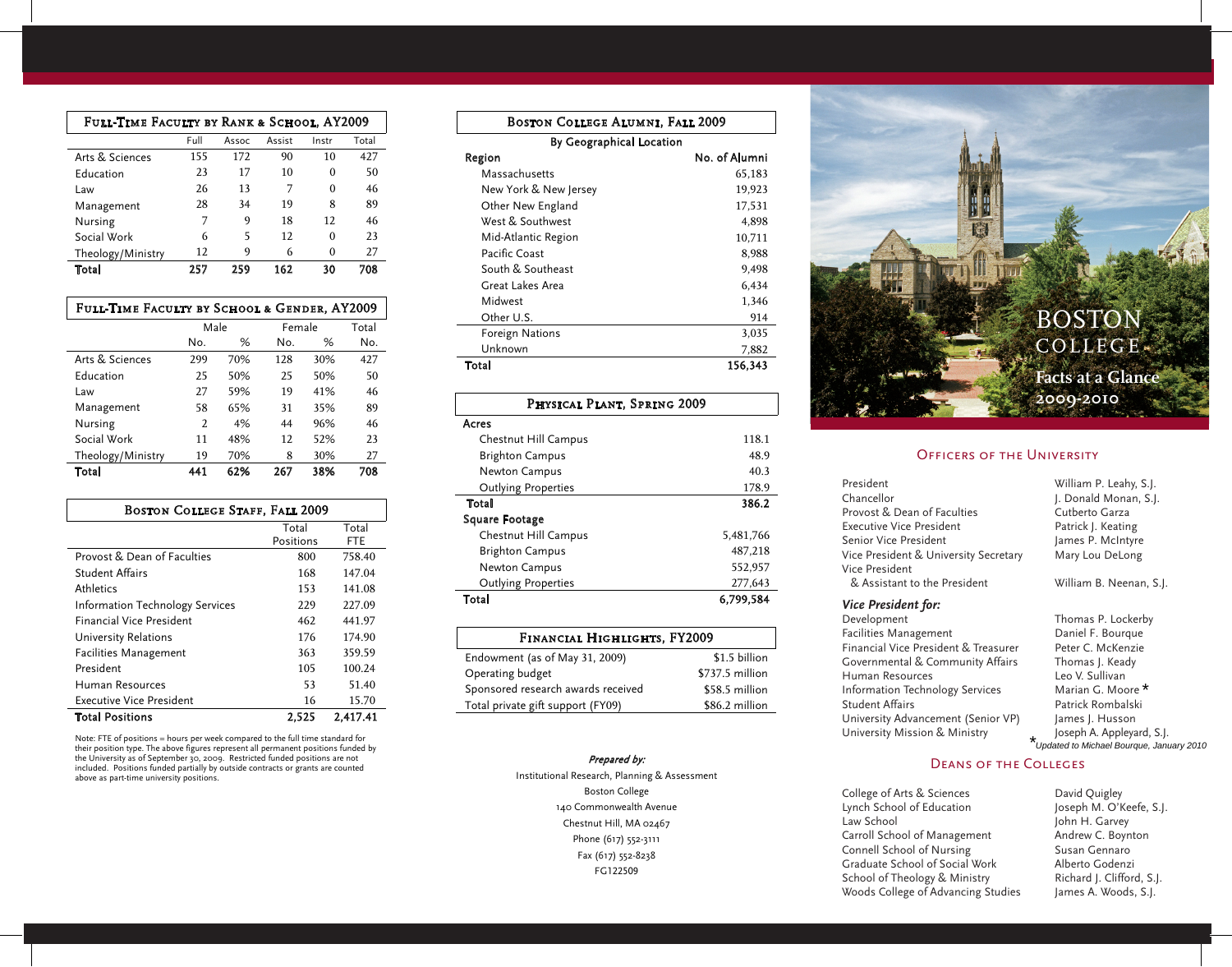| Full-Time Faculty by Rank & School, AY2009 |      |       |        |          |       |
|--------------------------------------------|------|-------|--------|----------|-------|
|                                            | Full | Assoc | Assist | Instr    | Total |
| Arts & Sciences                            | 155  | 172   | 90     | 10       | 427   |
| Education                                  | 23   | 17    | 10     | 0        | 50    |
| Law                                        | 26   | 13    | 7      | 0        | 46    |
| Management                                 | 28   | 34    | 19     | 8        | 89    |
| Nursing                                    | 7    | 9     | 18     | 12       | 46    |
| Social Work                                | 6    | 5     | 12     | 0        | 23    |
| Theology/Ministry                          | 12   | 9     | 6      | $\Omega$ | 27    |
| Total                                      | 257  | 259   | 162    | 30       | 708   |

| FULL-TIME FACULTY BY SCHOOL & GENDER, AY2009 |  |  |  |  |
|----------------------------------------------|--|--|--|--|
|----------------------------------------------|--|--|--|--|

|                   | Male |     | Female |     | Total |
|-------------------|------|-----|--------|-----|-------|
|                   | No.  | %   | No.    | %   | No.   |
| Arts & Sciences   | 299  | 70% | 128    | 30% | 427   |
| Education         | 25   | 50% | 25     | 50% | 50    |
| Law               | 27   | 59% | 19     | 41% | 46    |
| Management        | 58   | 65% | 31     | 35% | 89    |
| Nursing           | 2    | 4%  | 44     | 96% | 46    |
| Social Work       | 11   | 48% | 12     | 52% | 23    |
| Theology/Ministry | 19   | 70% | 8      | 30% | 27    |
| Total             | 441  | 62% | 267    | 38% | 708   |

| <b>BOSTON COLLEGE STAFF, FALL 2009</b> |           |          |  |  |
|----------------------------------------|-----------|----------|--|--|
|                                        | Total     | Total    |  |  |
|                                        | Positions | FTE      |  |  |
| Provost & Dean of Faculties            | 800       | 758.40   |  |  |
| <b>Student Affairs</b>                 | 168       | 147.04   |  |  |
| Athletics                              | 153       | 141.08   |  |  |
| <b>Information Technology Services</b> | 229       | 227.09   |  |  |
| <b>Financial Vice President</b>        | 462       | 441.97   |  |  |
| University Relations                   | 176       | 174.90   |  |  |
| <b>Facilities Management</b>           | 363       | 359.59   |  |  |
| President                              | 105       | 100.24   |  |  |
| Human Resources                        | 53        | 51.40    |  |  |
| Executive Vice President               | 16        | 15.70    |  |  |
| <b>Total Positions</b>                 | 2.525     | 2.417.41 |  |  |

Note: FTE of positions = hours per week compared to the full time standard for their position type. The above figures represent all permanent positions funded by<br>the University as of September 30, 2009. Restricted funded positions are not<br>included. Positions funded partially by outside contracts or above as part-time university positions.

| <b>BOSTON COLLEGE ALUMNI, FALL 2009</b> |               |  |  |  |
|-----------------------------------------|---------------|--|--|--|
| By Geographical Location                |               |  |  |  |
| Region                                  | No. of Alumni |  |  |  |
| Massachusetts                           | 65,183        |  |  |  |
| New York & New Jersey                   | 19,923        |  |  |  |
| Other New England                       | 17,531        |  |  |  |
| West & Southwest                        | 4,898         |  |  |  |
| Mid-Atlantic Region                     | 10,711        |  |  |  |
| Pacific Coast                           | 8,988         |  |  |  |
| South & Southeast                       | 9,498         |  |  |  |
| Great Lakes Area                        | 6,434         |  |  |  |
| Midwest                                 | 1,346         |  |  |  |
| Other U.S.                              | 914           |  |  |  |
| Foreign Nations                         | 3,035         |  |  |  |
| Unknown                                 | 7,882         |  |  |  |
| Total                                   | 156.343       |  |  |  |

## Physical Plant, Spring 2009 Acres Chestnut Hill Campus 118.1 Brighton Campus 48.9 Newton Campus 40.3 Outlying Properties 178.9 Total 386.2 Square Footage Chestnut Hill Campus 5,481,766 Brighton Campus 487,218 Newton Campus 552,957 Outlying Properties 277,643 Total 6,799,584

| FINANCIAL HIGHLIGHTS, FY2009       |                 |  |  |
|------------------------------------|-----------------|--|--|
| Endowment (as of May 31, 2009)     | \$1.5 billion   |  |  |
| Operating budget                   | \$737.5 million |  |  |
| Sponsored research awards received | \$58.5 million  |  |  |
| Total private gift support (FY09)  | \$86.2 million  |  |  |

### Prepared by:

Institutional Research, Planning & Assessment Boston College 140 Commonwealth Avenue Chestnut Hill, MA 02467 Phone (617) 552-3111 Fax (617) 552-8238 FG122509

BOSTON **COLLEGE AND STREET**  $\mathbb{R}$ At a Glance 2009-2010 Officers of the University *COLLEGE* President William P. Leahy, S.J. **2009-2010** *BOSTON* **Facts at a Glance**

#### OFFICERS OF THE UNIVERSITY

Provost & Dean of Faculties Cutberto Garzage Cutberto Garzage Cutberto Garzage Cutberto Garzage Cutberto Garz<br>Cutberto Garzage Cutberto Garzage Cutberto Garzage Cutberto Garzage Cutberto Garzage Cutberto Garzage Cutberto

| President                             | William P. Leahy, S.J.  |
|---------------------------------------|-------------------------|
| Chancellor                            | J. Donald Monan, S.J.   |
| Provost & Dean of Faculties           | Cutberto Garza          |
| Executive Vice President              | Patrick J. Keating      |
| Senior Vice President                 | James P. McIntyre       |
| Vice President & University Secretary | Mary Lou DeLong         |
| Vice President                        |                         |
| & Assistant to the President          | William B. Neenan, S.J. |
|                                       |                         |

Student Affairs Patrick Rombalski Development Thomas P. Lockerby University Advancement (Senior VP) James J. Husson Financial Vice President & Treasurer Peter C. McKenzie Thancian vice President & Medsurer The President C. Melechzie<br>Governmental & Community Affairs Thomas J. Keady University Mission & Ministry  $\qquad \qquad \star \qquad$  Joseph A. Appleyard, S.J. Facilities Management Daniel F. Bourque Human Resources The Controller Leo V. Sullivan Information Technology Services Student Affairs **Patrick Rombalski** University Advancement (Senior VP) James J. Husson

*Nice President for:* Annual G. Moore Marian G. Moore Marian G. Moore Marian G. Moore Marian G. Moore Marian G. Moore Marian G. Moore\* \*Updated to Michael Bourque, January 2010

# DEANS OF THE COLLEGES

College of Arts & Sciences **David Quigley** Lynch School of Education Joseph M. O'Keefe, S.J. Law School **E. Boynton C. Boynton H. Garvey** Carroll School of Management Andrew C. Boynton Connell School of Nursing Susan Gennaro Graduate School of Social Work Alberto Godenzi School of Theology & Ministry Richard J. Clifford, S.J. Woods College of Advancing Studies James A. Woods, S.J.